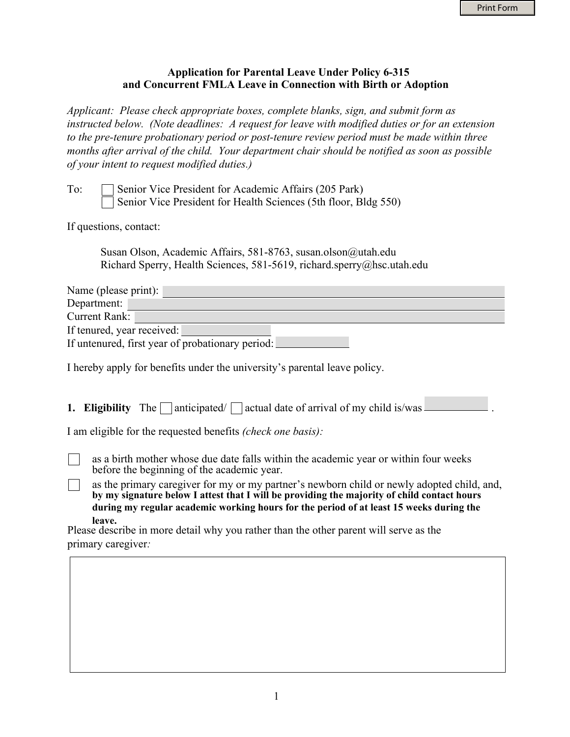## **Application for Parental Leave Under Policy 6-315 and Concurrent FMLA Leave in Connection with Birth or Adoption**

*Applicant: Please check appropriate boxes, complete blanks, sign, and submit form as instructed below. (Note deadlines: A request for leave with modified duties or for an extension to the pre-tenure probationary period or post-tenure review period must be made within three months after arrival of the child. Your department chair should be notified as soon as possible of your intent to request modified duties.)*

| To: | Senior Vice President for Academic Affairs (205 Park)           |
|-----|-----------------------------------------------------------------|
|     | Senior Vice President for Health Sciences (5th floor, Bldg 550) |

If questions, contact:

Susan Olson, Academic Affairs, 581-8763, susan.olson@utah.edu Richard Sperry, Health Sciences, 581-5619, richard.sperry@hsc.utah.edu

| Name (please print):                             |
|--------------------------------------------------|
| Department:                                      |
| Current Rank:                                    |
| If tenured, year received:                       |
| If untenured, first year of probationary period: |

I hereby apply for benefits under the university's parental leave policy.

**1. Eligibility** The  $\Box$  anticipated/  $\Box$  actual date of arrival of my child is/was  $\Box$ 

I am eligible for the requested benefits *(check one basis):*

as a birth mother whose due date falls within the academic year or within four weeks before the beginning of the academic year.

as the primary caregiver for my or my partner's newborn child or newly adopted child, and,  $\Box$ **by my signature below I attest that I will be providing the majority of child contact hours during my regular academic working hours for the period of at least 15 weeks during the leave.**

Please describe in more detail why you rather than the other parent will serve as the primary caregiver*:*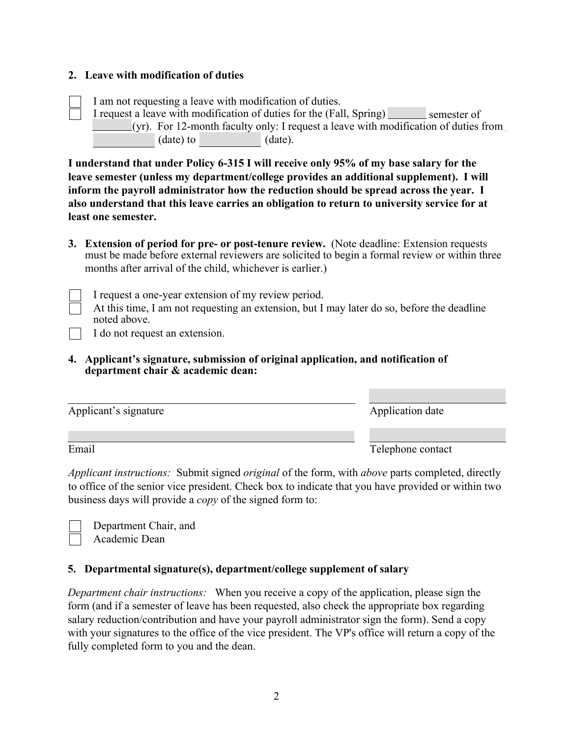## **2. Leave with modification of duties**

I am not requesting a leave with modification of duties. I request a leave with modification of duties for the (Fall, Spring) semester of  $(yr)$ . For 12-month faculty only: I request a leave with modification of duties from (date) to (date).

**I understand that under Policy 6-315 I will receive only 95% of my base salary for the leave semester (unless my department/college provides an additional supplement). I will inform the payroll administrator how the reduction should be spread across the year. I also understand that this leave carries an obligation to return to university service for at least one semester.**

**3. Extension of period for pre- or post-tenure review.** (Note deadline: Extension requests must be made before external reviewers are solicited to begin a formal review or within three months after arrival of the child, whichever is earlier.)

I request a one-year extension of my review period.

At this time, I am not requesting an extension, but I may later do so, before the deadline noted above.

I do not request an extension.

## **4. Applicant's signature, submission of original application, and notification of department chair & academic dean:**

| Applicant's signature | Application date  |
|-----------------------|-------------------|
| Email                 | Telephone contact |

*Applicant instructions:* Submit signed *original* of the form, with *above* parts completed, directly to office of the senior vice president. Check box to indicate that you have provided or within two business days will provide a *copy* of the signed form to:

Department Chair, and Academic Dean

## **5. Departmental signature(s), department/college supplement of salary**

*Department chair instructions:* When you receive a copy of the application, please sign the form (and if a semester of leave has been requested, also check the appropriate box regarding salary reduction/contribution and have your payroll administrator sign the form). Send a copy with your signatures to the office of the vice president. The VP's office will return a copy of the fully completed form to you and the dean.